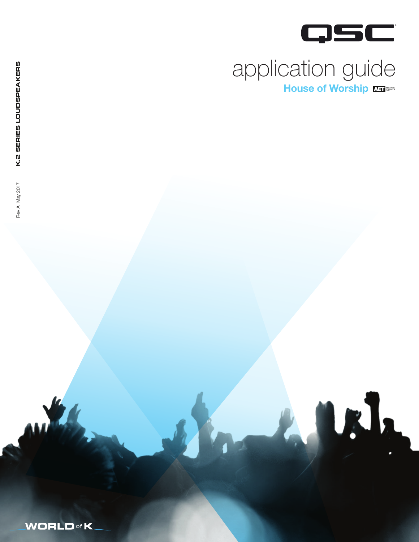

F.I.

# application guide House of Worship

**WORLD** of **K**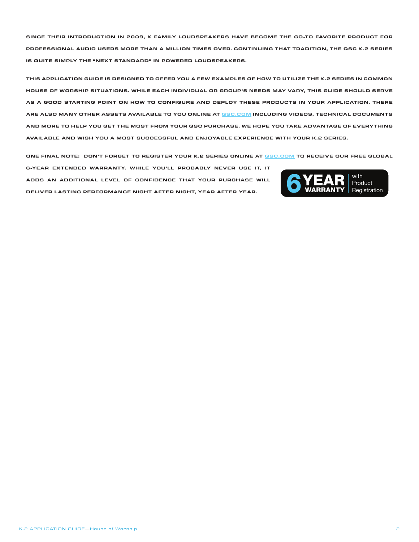**SINCE THEIR INTRODUCTION IN 2009, K FAMILY LOUDSPEAKERS HAVE BECOME THE GO-TO FAVORITE PRODUCT FOR PROFESSIONAL AUDIO USERS MORE THAN A MILLION TIMES OVER. CONTINUING THAT TRADITION, THE QSC K.2 SERIES IS QUITE SIMPLY THE "NEXT STANDARD" IN POWERED LOUDSPEAKERS.**

**THIS APPLICATION GUIDE IS DESIGNED TO OFFER YOU A FEW EXAMPLES OF HOW TO UTILIZE THE K.2 SERIES IN COMMON HOUSE OF WORSHIP SITUATIONS. WHILE EACH INDIVIDUAL OR GROUP'S NEEDS MAY VARY, THIS GUIDE SHOULD SERVE AS A GOOD STARTING POINT ON HOW TO CONFIGURE AND DEPLOY THESE PRODUCTS IN YOUR APPLICATION. THERE ARE ALSO MANY OTHER ASSETS AVAILABLE TO YOU ONLINE AT QSC.COM INCLUDING VIDEOS, TECHNICAL DOCUMENTS AND MORE TO HELP YOU GET THE MOST FROM YOUR QSC PURCHASE. WE HOPE YOU TAKE ADVANTAGE OF EVERYTHING AVAILABLE AND WISH YOU A MOST SUCCESSFUL AND ENJOYABLE EXPERIENCE WITH YOUR K.2 SERIES.**

**ONE FINAL NOTE: DON'T FORGET TO REGISTER YOUR K.2 SERIES ONLINE AT QSC.COM TO RECEIVE OUR FREE GLOBAL** 

**6-YEAR EXTENDED WARRANTY. WHILE YOU'LL PROBABLY NEVER USE IT, IT ADDS AN ADDITIONAL LEVEL OF CONFIDENCE THAT YOUR PURCHASE WILL**  BUT EXTENDED WARRANTY. WHILE YOU'LL PROBABLY NEVER OSE II, II<br>ADDS AN ADDITIONAL LEVEL OF CONFIDENCE THAT YOUR PURCHASE WILL<br>DELIVER LASTING PERFORMANCE NIGHT AFTER NIGHT, YEAR AFTER YEAR.

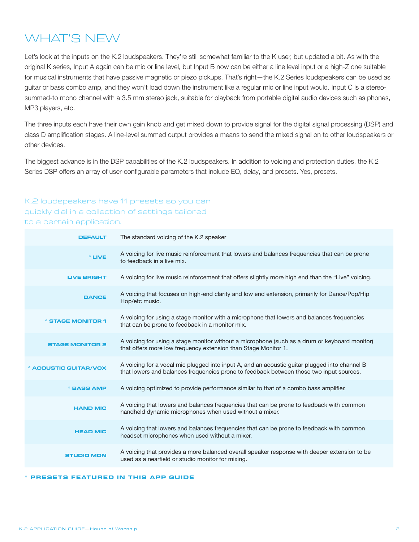### WHAT'S NEW

Let's look at the inputs on the K.2 loudspeakers. They're still somewhat familiar to the K user, but updated a bit. As with the original K series, Input A again can be mic or line level, but Input B now can be either a line level input or a high-Z one suitable for musical instruments that have passive magnetic or piezo pickups. That's right—the K.2 Series loudspeakers can be used as guitar or bass combo amp, and they won't load down the instrument like a regular mic or line input would. Input C is a stereosummed-to mono channel with a 3.5 mm stereo jack, suitable for playback from portable digital audio devices such as phones, MP3 players, etc.

The three inputs each have their own gain knob and get mixed down to provide signal for the digital signal processing (DSP) and class D amplification stages. A line-level summed output provides a means to send the mixed signal on to other loudspeakers or other devices.

The biggest advance is in the DSP capabilities of the K.2 loudspeakers. In addition to voicing and protection duties, the K.2 Series DSP offers an array of user-configurable parameters that include EQ, delay, and presets. Yes, presets.

### K.2 loudspeakers have 11 presets so you can

quickly dial in a collection of settings tailored to a certain application.

| <b>DEFAULT</b>                       | The standard voicing of the K.2 speaker                                                                                                                                                  |  |
|--------------------------------------|------------------------------------------------------------------------------------------------------------------------------------------------------------------------------------------|--|
| <sup>*</sup> LIVE                    | A voicing for live music reinforcement that lowers and balances frequencies that can be prone<br>to feedback in a live mix.                                                              |  |
| <b>LIVE BRIGHT</b>                   | A voicing for live music reinforcement that offers slightly more high end than the "Live" voicing.                                                                                       |  |
| <b>DANCE</b>                         | A voicing that focuses on high-end clarity and low end extension, primarily for Dance/Pop/Hip<br>Hop/etc music.                                                                          |  |
| <b><i><b>STAGE MONITOR 1</b></i></b> | A voicing for using a stage monitor with a microphone that lowers and balances frequencies<br>that can be prone to feedback in a monitor mix.                                            |  |
| <b>STAGE MONITOR 2</b>               | A voicing for using a stage monitor without a microphone (such as a drum or keyboard monitor)<br>that offers more low frequency extension than Stage Monitor 1.                          |  |
| * ACOUSTIC GUITAR/VOX                | A voicing for a vocal mic plugged into input A, and an acoustic guitar plugged into channel B<br>that lowers and balances frequencies prone to feedback between those two input sources. |  |
| * BASS AMP                           | A voicing optimized to provide performance similar to that of a combo bass amplifier.                                                                                                    |  |
| <b>HAND MIC</b>                      | A voicing that lowers and balances frequencies that can be prone to feedback with common<br>handheld dynamic microphones when used without a mixer.                                      |  |
| <b>HEAD MIC</b>                      | A voicing that lowers and balances frequencies that can be prone to feedback with common<br>headset microphones when used without a mixer.                                               |  |
| <b>STUDIO MON</b>                    | A voicing that provides a more balanced overall speaker response with deeper extension to be<br>used as a nearfield or studio monitor for mixing.                                        |  |

#### **\* PRESETS FEATURED IN THIS APP GUIDE**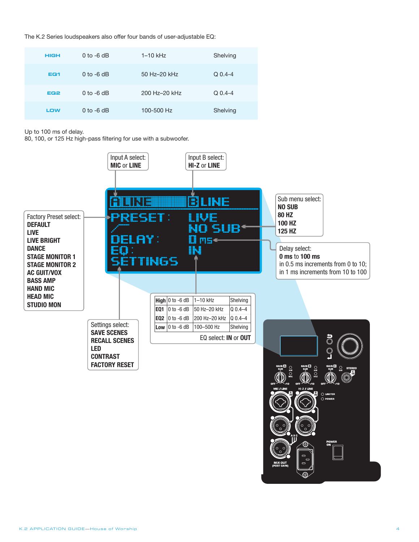The K.2 Series loudspeakers also offer four bands of user-adjustable EQ:

| <b>HIGH</b>     | 0 to $-6$ dB | $1 - 10$ kHz  | Shelving    |
|-----------------|--------------|---------------|-------------|
| EQ <sub>1</sub> | $0$ to -6 dB | 50 Hz-20 kHz  | $Q_{0.4-4}$ |
| EQ <sub>2</sub> | $0$ to -6 dB | 200 Hz-20 kHz | $Q$ 0.4-4   |
| LOW             | $0$ to -6 dB | 100-500 Hz    | Shelving    |

Up to 100 ms of delay.

80, 100, or 125 Hz high-pass filtering for use with a subwoofer.

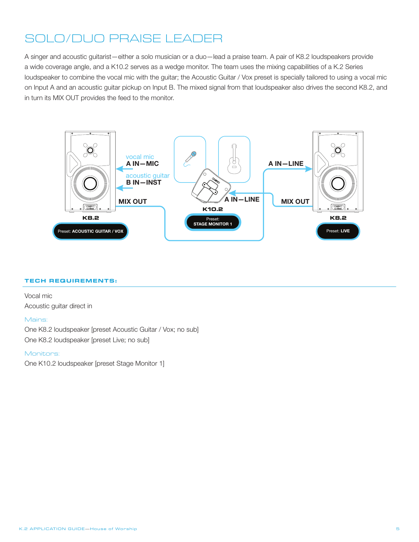# SOLO/DUO PRAISE LEADER

A singer and acoustic guitarist—either a solo musician or a duo—lead a praise team. A pair of K8.2 loudspeakers provide a wide coverage angle, and a K10.2 serves as a wedge monitor. The team uses the mixing capabilities of a K.2 Series loudspeaker to combine the vocal mic with the guitar; the Acoustic Guitar / Vox preset is specially tailored to using a vocal mic on Input A and an acoustic guitar pickup on Input B. The mixed signal from that loudspeaker also drives the second K8.2, and in turn its MIX OUT provides the feed to the monitor.



#### **TECH REQUIREMENTS:**

Vocal mic Acoustic guitar direct in

#### Mains:

One K8.2 loudspeaker [preset Acoustic Guitar / Vox; no sub] One K8.2 loudspeaker [preset Live; no sub]

#### Monitors:

One K10.2 loudspeaker [preset Stage Monitor 1]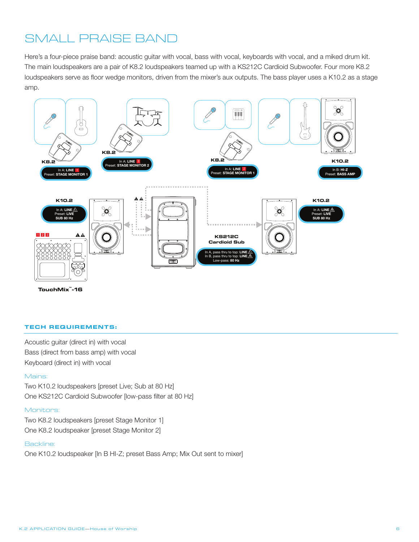### SMALL PRAISE BAND

Here's a four-piece praise band: acoustic guitar with vocal, bass with vocal, keyboards with vocal, and a miked drum kit. The main loudspeakers are a pair of K8.2 loudspeakers teamed up with a KS212C Cardioid Subwoofer. Four more K8.2 loudspeakers serve as floor wedge monitors, driven from the mixer's aux outputs. The bass player uses a K10.2 as a stage amp.



**TouchMix -16 ™**

#### **TECH REQUIREMENTS:**

Acoustic guitar (direct in) with vocal Bass (direct from bass amp) with vocal Keyboard (direct in) with vocal

#### Mains:

Two K10.2 loudspeakers [preset Live; Sub at 80 Hz] One KS212C Cardioid Subwoofer [low-pass filter at 80 Hz]

#### Monitors:

Two K8.2 loudspeakers [preset Stage Monitor 1] One K8.2 loudspeaker [preset Stage Monitor 2]

#### Backline:

One K10.2 loudspeaker [In B HI-Z; preset Bass Amp; Mix Out sent to mixer]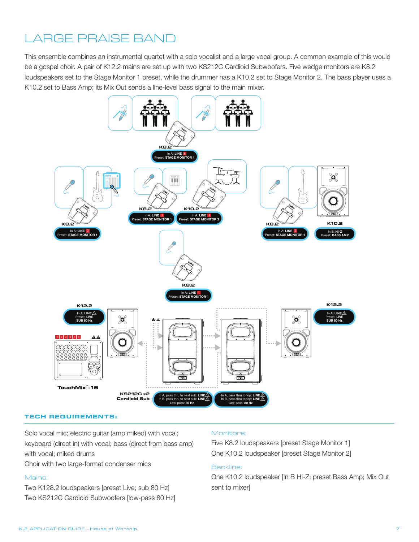# LARGE PRAISE BAND

This ensemble combines an instrumental quartet with a solo vocalist and a large vocal group. A common example of this would be a gospel choir. A pair of K12.2 mains are set up with two KS212C Cardioid Subwoofers. Five wedge monitors are K8.2 loudspeakers set to the Stage Monitor 1 preset, while the drummer has a K10.2 set to Stage Monitor 2. The bass player uses a K10.2 set to Bass Amp; its Mix Out sends a line-level bass signal to the main mixer.



#### **TECH REQUIREMENTS:**

Solo vocal mic; electric guitar (amp miked) with vocal; keyboard (direct in) with vocal; bass (direct from bass amp) with vocal; miked drums

Choir with two large-format condenser mics

#### Mains:

Two K128.2 loudspeakers [preset Live; sub 80 Hz] Two KS212C Cardioid Subwoofers [low-pass 80 Hz]

#### Monitors:

Five K8.2 loudspeakers [preset Stage Monitor 1] One K10.2 loudspeaker [preset Stage Monitor 2]

### Backline:

One K10.2 loudspeaker [In B HI-Z; preset Bass Amp; Mix Out sent to mixer]